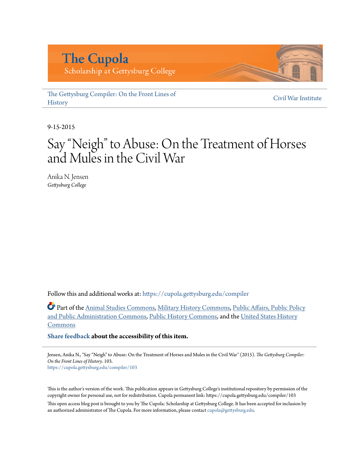# **The Cupola**

Scholarship at Gettysburg College

[The Gettysburg Compiler: On the Front Lines of](https://cupola.gettysburg.edu/compiler?utm_source=cupola.gettysburg.edu%2Fcompiler%2F103&utm_medium=PDF&utm_campaign=PDFCoverPages) **[History](https://cupola.gettysburg.edu/compiler?utm_source=cupola.gettysburg.edu%2Fcompiler%2F103&utm_medium=PDF&utm_campaign=PDFCoverPages)** 

[Civil War Institute](https://cupola.gettysburg.edu/cwi?utm_source=cupola.gettysburg.edu%2Fcompiler%2F103&utm_medium=PDF&utm_campaign=PDFCoverPages)

9-15-2015

# Say "Neigh" to Abuse: On the Treatment of Horses and Mules in the Civil War

Anika N. Jensen *Gettysburg College*

Follow this and additional works at: [https://cupola.gettysburg.edu/compiler](https://cupola.gettysburg.edu/compiler?utm_source=cupola.gettysburg.edu%2Fcompiler%2F103&utm_medium=PDF&utm_campaign=PDFCoverPages)

Part of the [Animal Studies Commons](http://network.bepress.com/hgg/discipline/1306?utm_source=cupola.gettysburg.edu%2Fcompiler%2F103&utm_medium=PDF&utm_campaign=PDFCoverPages), [Military History Commons](http://network.bepress.com/hgg/discipline/504?utm_source=cupola.gettysburg.edu%2Fcompiler%2F103&utm_medium=PDF&utm_campaign=PDFCoverPages), [Public Affairs, Public Policy](http://network.bepress.com/hgg/discipline/393?utm_source=cupola.gettysburg.edu%2Fcompiler%2F103&utm_medium=PDF&utm_campaign=PDFCoverPages) [and Public Administration Commons,](http://network.bepress.com/hgg/discipline/393?utm_source=cupola.gettysburg.edu%2Fcompiler%2F103&utm_medium=PDF&utm_campaign=PDFCoverPages) [Public History Commons](http://network.bepress.com/hgg/discipline/1292?utm_source=cupola.gettysburg.edu%2Fcompiler%2F103&utm_medium=PDF&utm_campaign=PDFCoverPages), and the [United States History](http://network.bepress.com/hgg/discipline/495?utm_source=cupola.gettysburg.edu%2Fcompiler%2F103&utm_medium=PDF&utm_campaign=PDFCoverPages) [Commons](http://network.bepress.com/hgg/discipline/495?utm_source=cupola.gettysburg.edu%2Fcompiler%2F103&utm_medium=PDF&utm_campaign=PDFCoverPages)

**[Share feedback](https://docs.google.com/a/bepress.com/forms/d/1h9eEcpBPj5POs5oO6Y5A0blXRmZqykoonyYiZUNyEq8/viewform) about the accessibility of this item.**

Jensen, Anika N., "Say "Neigh" to Abuse: On the Treatment of Horses and Mules in the Civil War" (2015). *The Gettysburg Compiler: On the Front Lines of History*. 103. [https://cupola.gettysburg.edu/compiler/103](https://cupola.gettysburg.edu/compiler/103?utm_source=cupola.gettysburg.edu%2Fcompiler%2F103&utm_medium=PDF&utm_campaign=PDFCoverPages)

This is the author's version of the work. This publication appears in Gettysburg College's institutional repository by permission of the copyright owner for personal use, not for redistribution. Cupola permanent link: https://cupola.gettysburg.edu/compiler/103

This open access blog post is brought to you by The Cupola: Scholarship at Gettysburg College. It has been accepted for inclusion by an authorized administrator of The Cupola. For more information, please contact [cupola@gettysburg.edu](mailto:cupola@gettysburg.edu).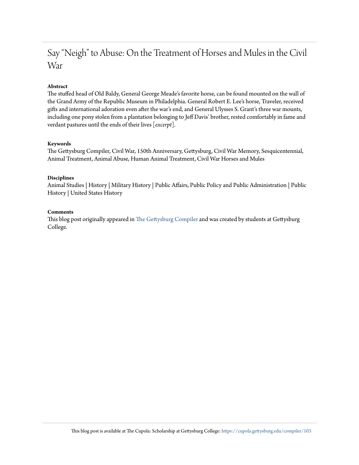### Say "Neigh" to Abuse: On the Treatment of Horses and Mules in the Civil War

#### **Abstract**

The stuffed head of Old Baldy, General George Meade's favorite horse, can be found mounted on the wall of the Grand Army of the Republic Museum in Philadelphia. General Robert E. Lee's horse, Traveler, received gifts and international adoration even after the war's end, and General Ulysses S. Grant's three war mounts, including one pony stolen from a plantation belonging to Jeff Davis' brother, rested comfortably in fame and verdant pastures until the ends of their lives [*excerpt*].

#### **Keywords**

The Gettysburg Compiler, Civil War, 150th Anniversary, Gettysburg, Civil War Memory, Sesquicentennial, Animal Treatment, Animal Abuse, Human Animal Treatment, Civil War Horses and Mules

#### **Disciplines**

Animal Studies | History | Military History | Public Affairs, Public Policy and Public Administration | Public History | United States History

#### **Comments**

This blog post originally appeared in [The Gettysburg Compiler](http://gettysburgcompiler.com/) and was created by students at Gettysburg College.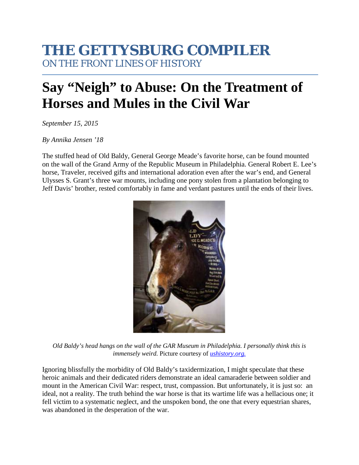## **THE GETTYSBURG COMPILER** ON THE FRONT LINES OF HISTORY

# **Say "Neigh" to Abuse: On the Treatment of Horses and Mules in the Civil War**

*September 15, 2015*

#### *By Annika Jensen '18*

The stuffed head of Old Baldy, General George Meade's favorite horse, can be found mounted on the wall of the Grand Army of the Republic Museum in Philadelphia. General Robert E. Lee's horse, Traveler, received gifts and international adoration even after the war's end, and General Ulysses S. Grant's three war mounts, including one pony stolen from a plantation belonging to Jeff Davis' brother, rested comfortably in fame and verdant pastures until the ends of their lives.



*Old Baldy's head hangs on the wall of the GAR Museum in Philadelphia. I personally think this is immensely weird.* Picture courtesy of *[ushistory.org.](http://www.ushistory.org/)*

Ignoring blissfully the morbidity of Old Baldy's taxidermization, I might speculate that these heroic animals and their dedicated riders demonstrate an ideal camaraderie between soldier and mount in the American Civil War: respect, trust, compassion. But unfortunately, it is just so: an ideal, not a reality. The truth behind the war horse is that its wartime life was a hellacious one; it fell victim to a systematic neglect, and the unspoken bond, the one that every equestrian shares, was abandoned in the desperation of the war.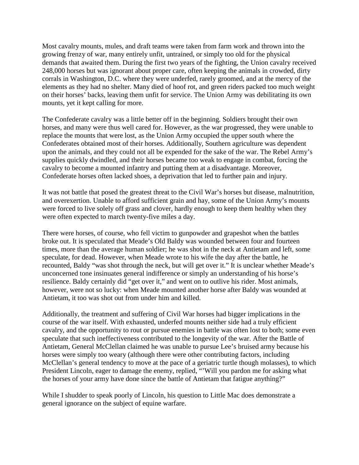Most cavalry mounts, mules, and draft teams were taken from farm work and thrown into the growing frenzy of war, many entirely unfit, untrained, or simply too old for the physical demands that awaited them. During the first two years of the fighting, the Union cavalry received 248,000 horses but was ignorant about proper care, often keeping the animals in crowded, dirty corrals in Washington, D.C. where they were underfed, rarely groomed, and at the mercy of the elements as they had no shelter. Many died of hoof rot, and green riders packed too much weight on their horses' backs, leaving them unfit for service. The Union Army was debilitating its own mounts, yet it kept calling for more.

The Confederate cavalry was a little better off in the beginning. Soldiers brought their own horses, and many were thus well cared for. However, as the war progressed, they were unable to replace the mounts that were lost, as the Union Army occupied the upper south where the Confederates obtained most of their horses. Additionally, Southern agriculture was dependent upon the animals, and they could not all be expended for the sake of the war. The Rebel Army's supplies quickly dwindled, and their horses became too weak to engage in combat, forcing the cavalry to become a mounted infantry and putting them at a disadvantage. Moreover, Confederate horses often lacked shoes, a deprivation that led to further pain and injury.

It was not battle that posed the greatest threat to the Civil War's horses but disease, malnutrition, and overexertion. Unable to afford sufficient grain and hay, some of the Union Army's mounts were forced to live solely off grass and clover, hardly enough to keep them healthy when they were often expected to march twenty-five miles a day.

There were horses, of course, who fell victim to gunpowder and grapeshot when the battles broke out. It is speculated that Meade's Old Baldy was wounded between four and fourteen times, more than the average human soldier; he was shot in the neck at Antietam and left, some speculate, for dead. However, when Meade wrote to his wife the day after the battle, he recounted, Baldy "was shot through the neck, but will get over it." It is unclear whether Meade's unconcerned tone insinuates general indifference or simply an understanding of his horse's resilience. Baldy certainly did "get over it," and went on to outlive his rider. Most animals, however, were not so lucky: when Meade mounted another horse after Baldy was wounded at Antietam, it too was shot out from under him and killed.

Additionally, the treatment and suffering of Civil War horses had bigger implications in the course of the war itself. With exhausted, underfed mounts neither side had a truly efficient cavalry, and the opportunity to rout or pursue enemies in battle was often lost to both; some even speculate that such ineffectiveness contributed to the longevity of the war. After the Battle of Antietam, General McClellan claimed he was unable to pursue Lee's bruised army because his horses were simply too weary (although there were other contributing factors, including McClellan's general tendency to move at the pace of a geriatric turtle though molasses), to which President Lincoln, eager to damage the enemy, replied, "'Will you pardon me for asking what the horses of your army have done since the battle of Antietam that fatigue anything?"

While I shudder to speak poorly of Lincoln, his question to Little Mac does demonstrate a general ignorance on the subject of equine warfare.